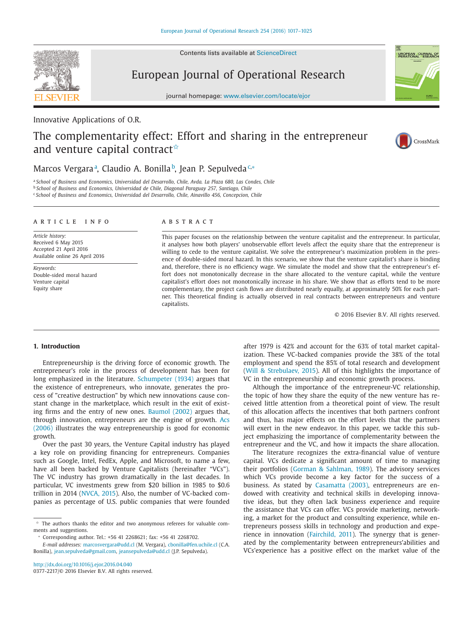Contents lists available at [ScienceDirect](http://www.ScienceDirect.com)

European Journal of Operational Research

journal homepage: [www.elsevier.com/locate/ejor](http://www.elsevier.com/locate/ejor)



# Innovative Applications of O.R.

# The complementarity effect: Effort and sharing in the entrepreneur and venture capital contract $\dot{\mathbf{x}}$



**ERICOPEAN JOURNAL**<br>PERATIONAL RESEA

# Marcos Vergaraª, Claudio A. Bonilla♭, Jean P. Sepulveda<sup>c,</sup>∗

<sup>a</sup> *School of Business and Economics, Universidad del Desarrollo, Chile, Avda. La Plaza 680, Las Condes, Chile* <sup>b</sup> *School of Business and Economics, Universidad de Chile, Diagonal Paraguay 257, Santiago, Chile* <sup>c</sup> *School of Business and Economics, Universidad del Desarrollo, Chile, Ainavillo 456, Concepcion, Chile*

#### a r t i c l e i n f o

*Article history:* Received 6 May 2015 Accepted 21 April 2016 Available online 26 April 2016

*Keywords:* Double-sided moral hazard Venture capital Equity share

# A B S T R A C T

This paper focuses on the relationship between the venture capitalist and the entrepreneur. In particular, it analyses how both players' unobservable effort levels affect the equity share that the entrepreneur is willing to cede to the venture capitalist. We solve the entrepreneur's maximization problem in the presence of double-sided moral hazard. In this scenario, we show that the venture capitalist's share is binding and, therefore, there is no efficiency wage. We simulate the model and show that the entrepreneur's effort does not monotonically decrease in the share allocated to the venture capital, while the venture capitalist's effort does not monotonically increase in his share. We show that as efforts tend to be more complementary, the project cash flows are distributed nearly equally, at approximately 50% for each partner. This theoretical finding is actually observed in real contracts between entrepreneurs and venture capitalists.

© 2016 Elsevier B.V. All rights reserved.

# **1. Introduction**

Entrepreneurship is the driving force of economic growth. The entrepreneur's role in the process of development has been for long emphasized in the literature. [Schumpeter](#page-8-0) (1934) argues that the existence of entrepreneurs, who innovate, generates the process of "creative destruction" by which new innovations cause constant change in the marketplace, which result in the exit of existing firms and the entry of new ones. [Baumol](#page-7-0) (2002) argues that, through innovation, entrepreneurs are the engine of growth. Acs (2006) illustrates the way [entrepreneurship](#page-7-0) is good for economic growth.

Over the past 30 years, the Venture Capital industry has played a key role on providing financing for entrepreneurs. Companies such as Google, Intel, FedEx, Apple, and Microsoft, to name a few, have all been backed by Venture Capitalists (hereinafter "VCs"). The VC industry has grown dramatically in the last decades. In particular, VC investments grew from \$20 billion in 1985 to \$0.6 trillion in 2014 [\(NVCA,](#page-8-0) 2015). Also, the number of VC-backed companies as percentage of U.S. public companies that were founded after 1979 is 42% and account for the 63% of total market capitalization. These VC-backed companies provide the 38% of the total employment and spend the 85% of total research and development (Will & [Strebulaev,](#page-8-0) 2015). All of this highlights the importance of VC in the entrepreneurship and economic growth process.

Although the importance of the entrepreneur-VC relationship, the topic of how they share the equity of the new venture has received little attention from a theoretical point of view. The result of this allocation affects the incentives that both partners confront and thus, has major effects on the effort levels that the partners will exert in the new endeavor. In this paper, we tackle this subject emphasizing the importance of complementarity between the entrepreneur and the VC, and how it impacts the share allocation.

The literature recognizes the extra-financial value of venture capital. VCs dedicate a significant amount of time to managing their portfolios (Gorman & [Sahlman,](#page-7-0) 1989). The advisory services which VCs provide become a key factor for the success of a business. As stated by [Casamatta](#page-7-0) (2003), entrepreneurs are endowed with creativity and technical skills in developing innovative ideas, but they often lack business experience and require the assistance that VCs can offer. VCs provide marketing, networking, a market for the product and consulting experience, while entrepreneurs possess skills in technology and production and experience in innovation [\(Fairchild,](#page-7-0) 2011). The synergy that is generated by the complementarity between entrepreneurs'abilities and VCs'experience has a positive effect on the market value of the

 $*$  The authors thanks the editor and two anonymous referees for valuable comments and suggestions.

<sup>∗</sup> Corresponding author. Tel.: +56 41 2268621; fax: +56 41 2268702.

*E-mail addresses:* [marcosvergara@udd.cl](mailto:marcosvergara@udd.cl) (M. Vergara), [cbonilla@fen.uchile.cl](mailto:cbonilla@fen.uchile.cl) (C.A. Bonilla), [jean.sepulveda@gmail.com,](mailto:jean.sepulveda@gmail.com) [jeansepulveda@udd.cl](mailto:jeansepulveda@udd.cl) (J.P. Sepulveda).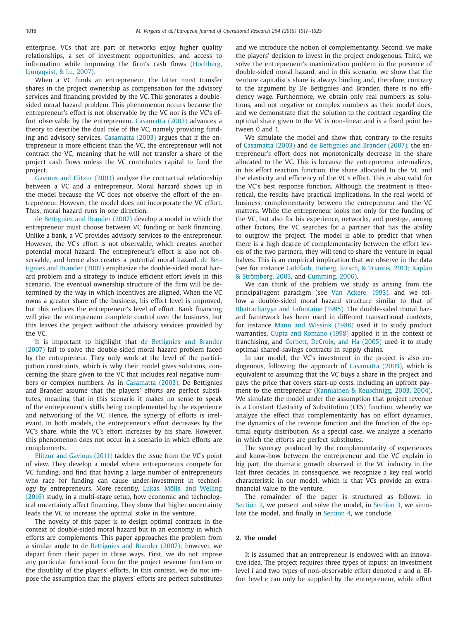enterprise. VCs that are part of networks enjoy higher quality relationships, a set of investment opportunities, and access to [information](#page-8-0) while improving the firm's cash flows (Hochberg, Ljungqvist, & Lu, 2007).

When a VC funds an entrepreneur, the latter must transfer shares in the project ownership as compensation for the advisory services and financing provided by the VC. This generates a doublesided moral hazard problem. This phenomenon occurs because the entrepreneur's effort is not observable by the VC nor is the VC's effort observable by the entrepreneur. [Casamatta](#page-7-0) (2003) advances a theory to describe the dual role of the VC, namely providing funding and advisory services. [Casamatta](#page-7-0) (2003) argues that if the entrepreneur is more efficient than the VC, the entrepreneur will not contract the VC, meaning that he will not transfer a share of the project cash flows unless the VC contributes capital to fund the project.

[Gavious](#page-7-0) and Elitzur (2003) analyze the contractual relationship between a VC and a entrepreneur. Moral harzard shows up in the model because the VC does not observe the effort of the entrepreneur. However, the model does not incorporate the VC effort. Thus, moral hazard runs in one direction.

de [Bettignies](#page-7-0) and Brander (2007) develop a model in which the entrepreneur must choose between VC funding or bank financing. Unlike a bank, a VC provides advisory services to the entrepreneur. However, the VC's effort is not observable, which creates another potential moral hazard. The entrepreneur's effort is also not observable, and hence also creates a potential moral hazard. de Bettignies and Brander (2007) emphasize the [double-sided](#page-7-0) moral hazard problem and a strategy to induce efficient effort levels in this scenario. The eventual ownership structure of the firm will be determined by the way in which incentives are aligned. When the VC owns a greater share of the business, his effort level is improved, but this reduces the entrepreneur's level of effort. Bank financing will give the entrepreneur complete control over the business, but this leaves the project without the advisory services provided by the VC.

It is important to highlight that de Bettignies and Brander (2007) fail to solve the [double-sided](#page-7-0) moral hazard problem faced by the entrepreneur. They only work at the level of the participation constraints, which is why their model gives solutions, concerning the share given to the VC that includes real negative numbers or complex numbers. As in [Casamatta](#page-7-0) (2003), De Bettignies and Brander assume that the players' efforts are perfect substitutes, meaning that in this scenario it makes no sense to speak of the entrepreneur's skills being complemented by the experience and networking of the VC. Hence, the synergy of efforts is irrelevant. In both models, the entrepreneur's effort decreases by the VC's share, while the VC's effort increases by his share. However, this phenomenon does not occur in a scenario in which efforts are complements.

Elitzur and [Gavious](#page-7-0) (2011) tackles the issue from the VC's point of view. They develop a model where entrepreneurs compete for VC funding, and find that having a large number of entrepreneurs who race for funding can cause under-investment in technology by [entrepreneurs.](#page-8-0) More recently, Lukas, Mölls, and Welling (2016) study, in a multi-stage setup, how economic and technological uncertainty affect financing. They show that higher uncertainty leads the VC to increase the optimal stake in the venture.

The novelty of this paper is to design optimal contracts in the context of double-sided moral hazard but in an economy in which efforts are complements. This paper approaches the problem from a similar angle to de [Bettignies](#page-7-0) and Brander (2007); however, we depart from their paper in three ways. First, we do not impose any particular functional form for the project revenue function or the disutility of the players' efforts. In this context, we do not impose the assumption that the players' efforts are perfect substitutes and we introduce the notion of complementarity. Second, we make the players' decision to invest in the project endogenous. Third, we solve the entrepreneur's maximization problem in the presence of double-sided moral hazard, and in this scenario, we show that the venture capitalist's share is always binding and, therefore, contrary to the argument by De Bettignies and Brander, there is no efficiency wage. Furthermore, we obtain only real numbers as solutions, and not negative or complex numbers as their model does, and we demonstrate that the solution to the contract regarding the optimal share given to the VC is non-linear and is a fixed point between 0 and 1.

We simulate the model and show that, contrary to the results of [Casamatta](#page-7-0) (2003) and de [Bettignies](#page-7-0) and Brander (2007), the entrepreneur's effort does not monotonically decrease in the share allocated to the VC. This is because the entrepreneur internalizes, in his effort reaction function, the share allocated to the VC and the elasticity and efficiency of the VC's effort. This is also valid for the VC's best response function. Although the treatment is theoretical, the results have practical implications. In the real world of business, complementarity between the entrepreneur and the VC matters. While the entrepreneur looks not only for the funding of the VC, but also for his experience, networks, and prestige, among other factors, the VC searches for a partner that has the ability to outgrow the project. The model is able to predict that when there is a high degree of complementarity between the effort levels of the two partners, they will tend to share the venture in equal halves. This is an empirical implication that we observe in the data (see for instance Goldfarb, Hoberg, Kirsch, & Triantis, 2013; Kaplan & [Strömberg,](#page-7-0) 2003, and [Cumming,](#page-7-0) 2006).

We can think of the problem we study as arising from the principal/agent paradigm (see Van [Ackere,](#page-8-0) 1993), and we follow a double-sided moral hazard structure similar to that of [Bhattacharyya](#page-7-0) and Lafontaine (1995). The double-sided moral hazard framework has been used in different transactional contexts, for instance Mann and [Wissink](#page-8-0) (1988) used it to study product warranties, Gupta and [Romano](#page-8-0) (1998) applied it in the context of franchising, and Corbett, [DeCroix,](#page-7-0) and Ha (2005) used it to study optimal shared-savings contracts in supply chains.

In our model, the VC's investment in the project is also endogenous, following the approach of [Casamatta](#page-7-0) (2003), which is equivalent to assuming that the VC buys a share in the project and pays the price that covers start-up costs, including an upfront payment to the entrepreneur (Kanniainen & [Keuschnigg,](#page-8-0) 2003, 2004). We simulate the model under the assumption that project revenue is a Constant Elasticity of Substitution (CES) function, whereby we analyze the effect that complementarity has on effort dynamics, the dynamics of the revenue function and the function of the optimal equity distribution. As a special case, we analyze a scenario in which the efforts are perfect substitutes.

The synergy produced by the complementarity of experiences and know-how between the entrepreneur and the VC explain in big part, the dramatic growth observed in the VC industry in the last three decades. In consequence, we recognize a key real world characteristic in our model, which is that VCs provide an extrafinancial value to the venture.

The remainder of the paper is structured as follows: in Section 2, we present and solve the model, in [Section](#page-3-0) 3, we simulate the model, and finally in [Section](#page-6-0) 4, we conclude.

## **2. The model**

It is assumed that an entrepreneur is endowed with an innovative idea. The project requires three types of inputs: an investment level *I* and two types of non-observable effort denoted *e* and *a*. Effort level *e* can only be supplied by the entrepreneur, while effort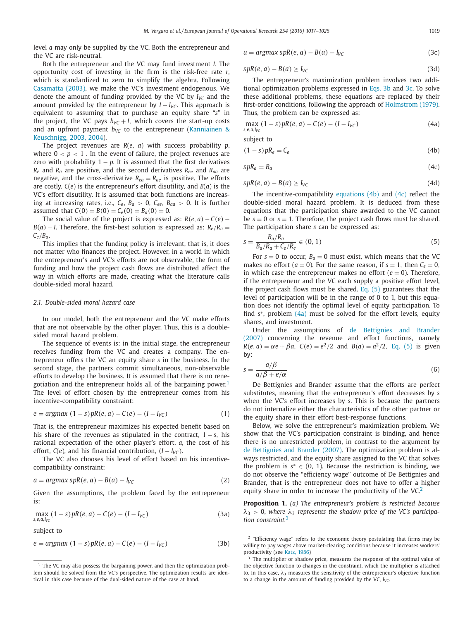<span id="page-2-0"></span>level *a* may only be supplied by the VC. Both the entrepreneur and the VC are risk-neutral.

Both the entrepreneur and the VC may fund investment *I*. The opportunity cost of investing in the firm is the risk-free rate *r*, which is standardized to zero to simplify the algebra. Following [Casamatta](#page-7-0) (2003), we make the VC's investment endogenous. We denote the amount of funding provided by the VC by  $I_{\text{VC}}$  and the amount provided by the entrepreneur by  $I - I_{VC}$ . This approach is equivalent to assuming that to purchase an equity share "*s*" in the project, the VC pays  $b_{VC} + I$ , which covers the start-up costs and an upfront payment  $b_{\text{VC}}$  to the [entrepreneur](#page-8-0) (Kanniainen & Keuschnigg, 2003, 2004).

The project revenues are *R*(*e*, *a*) with success probability *p*, where  $0 < p < 1$ . In the event of failure, the project revenues are zero with probability  $1 - p$ . It is assumed that the first derivatives *Re* and *Ra* are positive, and the second derivatives *Ree* and *Raa* are negative, and the cross-derivative  $R_{ea} = R_{ae}$  is positive. The efforts are costly.  $C(e)$  is the entrepreneur's effort disutility, and  $B(a)$  is the VC's effort disutility. It is assumed that both functions are increasing at increasing rates, i.e., *Ce*, *Ba* > 0, *Cee*, *Baa* > 0. It is further assumed that  $C(0) = B(0) = C_e(0) = B_a(0) = 0$ .

The social value of the project is expressed as:  $R(e, a) - C(e)$  – *B*(*a*) − *I*. Therefore, the first-best solution is expressed as:  $R_e/R_a$  = *Ce*/*Ba*.

This implies that the funding policy is irrelevant, that is, it does not matter who finances the project. However, in a world in which the entrepreneur's and VC's efforts are not observable, the form of funding and how the project cash flows are distributed affect the way in which efforts are made, creating what the literature calls double-sided moral hazard.

## *2.1. Double-sided moral hazard case*

In our model, both the entrepreneur and the VC make efforts that are not observable by the other player. Thus, this is a doublesided moral hazard problem.

The sequence of events is: in the initial stage, the entrepreneur receives funding from the VC and creates a company. The entrepreneur offers the VC an equity share *s* in the business. In the second stage, the partners commit simultaneous, non-observable efforts to develop the business. It is assumed that there is no renegotiation and the entrepreneur holds all of the bargaining power.<sup>1</sup> The level of effort chosen by the entrepreneur comes from his incentive-compatibility constraint:

$$
e = \text{argmax} \ (1 - s) pR(e, a) - C(e) - (I - I_{VC}) \tag{1}
$$

That is, the entrepreneur maximizes his expected benefit based on his share of the revenues as stipulated in the contract, 1 − *s*, his rational expectation of the other player's effort, *a*, the cost of his effort,  $C(e)$ , and his financial contribution,  $(I - I_{VC})$ .

The VC also chooses his level of effort based on his incentivecompatibility constraint:

$$
a = \operatorname{argmax} s p R(e, a) - B(a) - I_{VC}
$$
 (2)

Given the assumptions, the problem faced by the entrepreneur is:

$$
\max_{s,e,a,l_{VC}} (1-s)pR(e,a) - C(e) - (I - I_{VC})
$$
\n(3a)

subject to

$$
e = \text{argmax} (1 - s) pR(e, a) - C(e) - (I - I_{VC})
$$
 (3b)

$$
a = \operatorname{argmax} s p R(e, a) - B(a) - I_{VC}
$$
 (3c)

$$
spR(e, a) - B(a) \geq I_{VC}
$$
 (3d)

The entrepreneur's maximization problem involves two additional optimization problems expressed in Eqs. 3b and 3c. To solve these additional problems, these equations are replaced by their first-order conditions, following the approach of [Holmstrom](#page-8-0) (1979). Thus, the problem can be expressed as:

$$
\max_{s,e,a,l_{VC}} (1-s) pR(e,a) - C(e) - (I - l_{VC})
$$
\n(4a)

subject to

$$
(1 - s)pR_e = C_e \tag{4b}
$$

$$
spR_a = B_a \tag{4c}
$$

$$
spR(e, a) - B(a) \geq I_{VC}
$$
\n(4d)

The incentive-compatibility equations (4b) and (4c) reflect the double-sided moral hazard problem. It is deduced from these equations that the participation share awarded to the VC cannot be  $s = 0$  or  $s = 1$ . Therefore, the project cash flows must be shared. The participation share *s* can be expressed as:

$$
s = \frac{B_a/R_a}{B_a/R_a + C_e/R_e} \in (0, 1)
$$
\n(5)

For  $s = 0$  to occur,  $B_a = 0$  must exist, which means that the VC makes no effort ( $a = 0$ ). For the same reason, if  $s = 1$ , then  $C_e = 0$ , in which case the entrepreneur makes no effort  $(e = 0)$ . Therefore, if the entrepreneur and the VC each supply a positive effort level, the project cash flows must be shared. Eq. (5) guarantees that the level of participation will be in the range of 0 to 1, but this equation does not identify the optimal level of equity participation. To find *s*<sup>\*</sup>, problem (4a) must be solved for the effort levels, equity shares, and investment.

Under the [assumptions](#page-7-0) of de Bettignies and Brander (2007) concerning the revenue and effort functions, namely *R*(*e*, *a*) =  $\alpha e + \beta a$ ,  $C(e) = e^2/2$  and  $B(a) = a^2/2$ , Eq. (5) is given by:

$$
s = \frac{a/\beta}{a/\beta + e/\alpha} \tag{6}
$$

De Bettignies and Brander assume that the efforts are perfect substitutes, meaning that the entrepreneur's effort decreases by *s* when the VC's effort increases by *s*. This is because the partners do not internalize either the characteristics of the other partner or the equity share in their effort best-response functions.

Below, we solve the entrepreneur's maximization problem. We show that the VC's participation constraint is binding, and hence there is no unrestricted problem, in contrast to the argument by de [Bettignies](#page-7-0) and Brander (2007). The optimization problem is always restricted, and the equity share assigned to the VC that solves the problem is  $s^* \in (0, 1)$ . Because the restriction is binding, we do not observe the "efficiency wage" outcome of De Bettignies and Brander, that is the entrepreneur does not have to offer a higher equity share in order to increase the productivity of the VC.<sup>2</sup>

**Proposition 1.** *(a) The entrepreneur's problem is restricted because*  $\lambda_3 > 0$ , where  $\lambda_3$  represents the shadow price of the VC's participa*tion constraint.<sup>3</sup>*

<sup>&</sup>lt;sup>1</sup> The VC may also possess the bargaining power, and then the optimization problem should be solved from the VC's perspective. The optimization results are identical in this case because of the dual-sided nature of the case at hand.

<sup>&</sup>lt;sup>2</sup> "Efficiency wage" refers to the economic theory postulating that firms may be willing to pay wages above market-clearing conditions because it increases workers' productivity (see Katz, [1986\)](#page-8-0)

<sup>&</sup>lt;sup>3</sup> The multiplier or shadow price, measures the response of the optimal value of the objective function to changes in the constraint, which the multiplier is attached to. In this case,  $\lambda_3$  measures the sensitivity of the entrepreneur's objective function to a change in the amount of funding provided by the VC,  $I_{\text{VC}}$ ,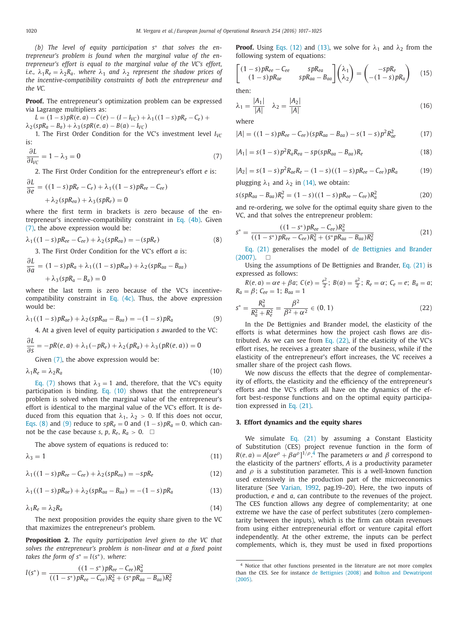<span id="page-3-0"></span>*(b) The level of equity participation s*∗ *that solves the entrepreneur's problem is found when the marginal value of the entrepreneur's effort is equal to the marginal value of the VC's effort, i.e.,*  $\lambda_1 R_e = \lambda_2 R_a$ , where  $\lambda_1$  and  $\lambda_2$  represent the shadow prices of *the incentive-compatibility constraints of both the entrepreneur and the VC.*

**Proof.** The entrepreneur's optimization problem can be expressed via Lagrange multipliers as:

 $L = (1 - s)pR(e, a) - C(e) - (I - I_{VC}) + \lambda_1((1 - s)pR_e - C_e) +$  $\lambda_2$ (*spR*<sub>a</sub> – *B*<sub>a</sub>) +  $\lambda_3$ (*spR*(*e*, *a*) – *B*(*a*) – *I*<sub>VC</sub>)

1. The First Order Condition for the VC's investment level *I<sub>VC</sub>* is:

$$
\frac{\partial L}{\partial l_{VC}} = 1 - \lambda_3 = 0 \tag{7}
$$

2. The First Order Condition for the entrepreneur's effort *e* is: ∂*L*

$$
\frac{\partial L}{\partial e} = ((1 - s)pR_e - C_e) + \lambda_1((1 - s)pR_{ee} - C_{ee})
$$

$$
+ \lambda_2(spR_{ea}) + \lambda_3(spR_e) = 0
$$

where the first term in brackets is zero because of the entrepreneur's incentive-compatibility constraint in Eq. [\(4b\).](#page-2-0) Given (7), the above expression would be:

$$
\lambda_1((1-s)pR_{ee} - C_{ee}) + \lambda_2(spR_{ea}) = -(spR_e)
$$
\n<sup>(8)</sup>

3. The First Order Condition for the VC's effort *a* is:

$$
\frac{\partial L}{\partial a} = (1 - s) pR_a + \lambda_1 ((1 - s) pR_{ae}) + \lambda_2 (s pR_{aa} - B_{aa})
$$

$$
+ \lambda_3 (s pR_a - B_a) = 0
$$

where the last term is zero because of the VC's incentivecompatibility constraint in Eq.  $(4c)$ . Thus, the above expression would be:

$$
\lambda_1((1-s)pR_{ae}) + \lambda_2(spR_{aa} - B_{aa}) = -(1-s)pR_a
$$
\n(9)

4. At a given level of equity participation *s* awarded to the VC: ∂*L*

$$
\frac{\partial z}{\partial s} = -pR(e, a) + \lambda_1(-pR_e) + \lambda_2(pR_a) + \lambda_3(pR(e, a)) = 0
$$

Given (7), the above expression would be:

$$
\lambda_1 R_e = \lambda_2 R_a \tag{10}
$$

Eq. (7) shows that  $\lambda_3 = 1$  and, therefore, that the VC's equity participation is binding. Eq. (10) shows that the entrepreneur's problem is solved when the marginal value of the entrepreneur's effort is identical to the marginal value of the VC's effort. It is deduced from this equation that  $\lambda_1$ ,  $\lambda_2 > 0$ . If this does not occur, Eqs. (8) and (9) reduce to  $spR_e = 0$  and  $(1 - s)pR_a = 0$ , which cannot be the case because *s*,  $p$ ,  $R_e$ ,  $R_a > 0$ .  $\Box$ 

The above system of equations is reduced to:

$$
\lambda_3 = 1 \tag{11}
$$

$$
\lambda_1((1-s)pR_{ee}-C_{ee})+\lambda_2(spR_{ea})=-spR_e
$$
\n(12)

$$
\lambda_1((1-s)pR_{ae}) + \lambda_2(spR_{aa} - B_{aa}) = -(1-s)pR_a
$$
\n(13)

$$
\lambda_1 R_e = \lambda_2 R_a \tag{14}
$$

The next proposition provides the equity share given to the VC that maximizes the entrepreneur's problem.

**Proposition 2.** *The equity participation level given to the VC that solves the entrepreneur's problem is non-linear and at a fixed point takes the form of*  $s^* = l(s^*)$ *, where:* 

$$
l(s^*) = \frac{((1-s^*)pR_{ee} - C_{ee})R_a^2}{((1-s^*)pR_{ee} - C_{ee})R_a^2 + (s^*pR_{aa} - B_{aa})R_e^2}
$$

**Proof.** Using Eqs. (12) and (13), we solve for  $\lambda_1$  and  $\lambda_2$  from the following system of equations:

$$
\begin{bmatrix}\n(1-s)pR_{ee} - C_{ee} & spR_{ea} \\
(1-s)pR_{ae} & spR_{aa} - B_{aa}\n\end{bmatrix}\n\begin{pmatrix}\n\lambda_1 \\
\lambda_2\n\end{pmatrix} =\n\begin{pmatrix}\n-spR_e \\
-(1-s)pR_a\n\end{pmatrix}
$$
\n(15)

 $\lambda_1 = \frac{|A_1|}{|A|} \quad \lambda_2 = \frac{|A_2|}{|A|}$  $\frac{|A|}{|A|}$  (16)

where

$$
|A| = ((1 - s)pR_{ee} - C_{ee})(spR_{aa} - B_{aa}) - s(1 - s)p^2R_{ae}^2
$$
 (17)

$$
|A_1| = s(1-s)p^2 R_a R_{ea} - sp(spR_{aa} - B_{aa})R_e
$$
\n(18)

$$
|A_2| = s(1-s)p^2 R_{ae} R_e - (1-s)((1-s)pR_{ee} - C_{ee})pR_a \tag{19}
$$

plugging  $\lambda_1$  and  $\lambda_2$  in (14), we obtain:

$$
s(s p R_{aa} - B_{aa}) R_e^2 = (1 - s)((1 - s) p R_{ee} - C_{ee}) R_a^2
$$
 (20)

and re-ordering, we solve for the optimal equity share given to the VC, and that solves the entrepreneur problem:

$$
s^* = \frac{((1 - s^*)pR_{ee} - C_{ee})R_a^2}{((1 - s^*)pR_{ee} - C_{ee})R_a^2 + (s^*pR_{aa} - B_{aa})R_e^2}
$$
(21)

Eq. (21) [generalises](#page-7-0) the model of de Bettignies and Brander  $(2007)$ .  $\Box$ 

Using the assumptions of De Bettignies and Brander, Eq. (21) is expressed as follows:

 $R(e, a) = \alpha e + \beta a; C(e) = \frac{e^2}{2}; B(a) = \frac{a^2}{2}; R_e = \alpha; C_e = e; B_a = a;$  $R_a = \beta$ ;  $C_{ee} = 1$ ;  $B_{aa} = 1$ 

$$
s^* = \frac{R_a^2}{R_a^2 + R_e^2} = \frac{\beta^2}{\beta^2 + \alpha^2} \in (0, 1)
$$
 (22)

In the De Bettignies and Brander model, the elasticity of the efforts is what determines how the project cash flows are distributed. As we can see from Eq. (22), if the elasticity of the VC's effort rises, he receives a greater share of the business, while if the elasticity of the entrepreneur's effort increases, the VC receives a smaller share of the project cash flows.

We now discuss the effects that the degree of complementarity of efforts, the elasticity and the efficiency of the entrepreneur's efforts and the VC's efforts all have on the dynamics of the effort best-response functions and on the optimal equity participation expressed in Eq. (21).

# **3. Effort dynamics and the equity shares**

We simulate Eq. (21) by assuming a Constant Elasticity of Substitution (CES) project revenue function in the form of  $R(e, a) = A[\alpha e^{\rho} + \beta a^{\rho}]^{1/\rho}$ .<sup>4</sup> The parameters  $\alpha$  and  $\beta$  correspond to the elasticity of the partners' efforts, *A* is a productivity parameter and  $\rho$  is a substitution parameter. This is a well-known function used extensively in the production part of the microeconomics literature (See [Varian,](#page-8-0) 1992, pag.19–20). Here, the two inputs of production, *e* and *a*, can contribute to the revenues of the project. The CES function allows any degree of complementarity; at one extreme we have the case of perfect substitutes (zero complementarity between the inputs), which is the firm can obtain revenues from using either entrepreneurial effort or venture capital effort independently. At the other extreme, the inputs can be perfect complements, which is, they must be used in fixed proportions

<sup>&</sup>lt;sup>4</sup> Notice that other functions presented in the literature are not more complex than the CES. See for instance de [Bettignies](#page-7-0) (2008) and Bolton and [Dewatripont](#page-7-0) (2005).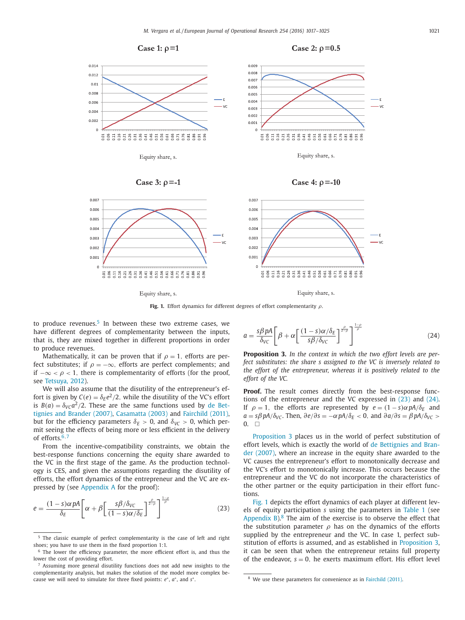<span id="page-4-0"></span>







**Fig. 1.** Effort dynamics for different degrees of effort complementarity ρ.

to produce revenues.<sup>5</sup> In between these two extreme cases, we have different degrees of complementarity between the inputs, that is, they are mixed together in different proportions in order to produce revenues.

Mathematically, it can be proven that if  $\rho = 1$ , efforts are perfect substitutes; if  $\rho = -\infty$ , efforts are perfect complements; and if  $-\infty < \rho < 1$ , there is complementarity of efforts (for the proof, see [Tetsuya,](#page-8-0) 2012).

We will also assume that the disutility of the entrepreneur's effort is given by  $C(e) = \delta_E e^2/2$ , while the disutility of the VC's effort is  $B(a) = \delta_V c a^2/2$ . These are the same functions used by de Bettignies and Brander (2007), [Casamatta](#page-7-0) (2003) and [Fairchild](#page-7-0) (2011), but for the efficiency parameters  $\delta_E > 0$ , and  $\delta_{V\!C} > 0$ , which permit seeing the effects of being more or less efficient in the delivery of efforts. $6,7$ 

From the incentive-compatibility constraints, we obtain the best-response functions concerning the equity share awarded to the VC in the first stage of the game. As the production technology is CES, and given the assumptions regarding the disutility of efforts, the effort dynamics of the entrepreneur and the VC are expressed by (see [Appendix](#page-7-0) A for the proof):

$$
e = \frac{(1-s)\alpha pA}{\delta_E} \left[ \alpha + \beta \left[ \frac{s\beta/\delta_{VC}}{(1-s)\alpha/\delta_E} \right]^{2-\rho} \right]^{1-\rho} \tag{23}
$$

$$
a = \frac{s\beta pA}{\delta_{VC}} \left[ \beta + \alpha \left[ \frac{(1-s)\alpha/\delta_E}{s\beta/\delta_{VC}} \right]^{2-\rho} \right]^{1-\rho} \tag{24}
$$

**Proposition 3.** *In the context in which the two effort levels are perfect substitutes: the share s assigned to the VC is inversely related to the effort of the entrepreneur, whereas it is positively related to the effort of the VC.*

**Proof.** The result comes directly from the best-response functions of the entrepreneur and the VC expressed in  $(23)$  and  $(24)$ . If  $\rho = 1$ , the efforts are represented by  $e = (1 - s)\alpha pA/\delta_E$  and  $a = s\beta pA/\delta_{VC}$ . Then,  $\partial e/\partial s = -\alpha pA/\delta_E < 0$ , and  $\partial a/\partial s = \beta pA/\delta_{VC} > 0$  $0.$   $\Box$ 

Proposition 3 places us in the world of perfect substitution of effort levels, which is exactly the world of de [Bettignies](#page-7-0) and Brander (2007), where an increase in the equity share awarded to the VC causes the entrepreneur's effort to monotonically decrease and the VC's effort to monotonically increase. This occurs because the entrepreneur and the VC do not incorporate the characteristics of the other partner or the equity participation in their effort functions.

Fig. 1 depicts the effort dynamics of each player at different levels of equity participation *s* using the parameters in [Table](#page-5-0) 1 (see [Appendix](#page-7-0)  $B$ ).<sup>8</sup> The aim of the exercise is to observe the effect that the substitution parameter  $\rho$  has on the dynamics of the efforts supplied by the entrepreneur and the VC. In case 1, perfect substitution of efforts is assumed, and as established in Proposition 3, it can be seen that when the entrepreneur retains full property of the endeavor,  $s = 0$ , he exerts maximum effort. His effort level

<sup>5</sup> The classic example of perfect complementarity is the case of left and right shoes; you have to use them in the fixed proportion 1:1.

 $6$  The lower the efficiency parameter, the more efficient effort is, and thus the lower the cost of providing effort.

Assuming more general disutility functions does not add new insights to the complementarity analysis, but makes the solution of the model more complex because we will need to simulate for three fixed pointts: *e*∗, *a*∗, and *s*∗.

<sup>&</sup>lt;sup>8</sup> We use these parameters for convenience as in [Fairchild](#page-7-0) (2011).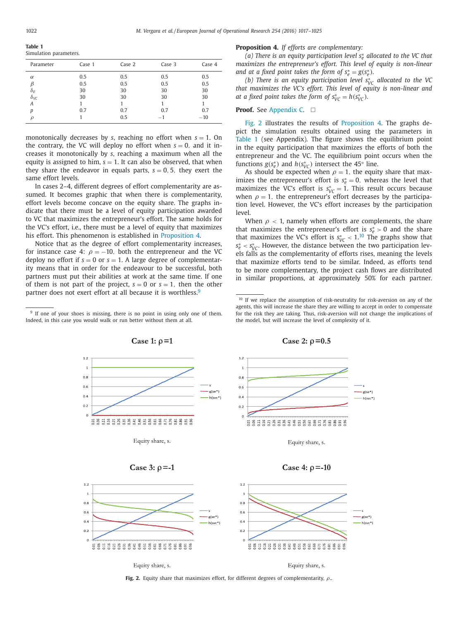<span id="page-5-0"></span>**Table 1** Simulation parameters.

| Parameter       | Case 1 | Case 2 | Case 3 | Case 4 |
|-----------------|--------|--------|--------|--------|
| $\alpha$        | 0.5    | 0.5    | 0.5    | 0.5    |
| ß               | 0.5    | 0.5    | 0.5    | 0.5    |
| $\delta_E$      | 30     | 30     | 30     | 30     |
| $\delta_{V\!C}$ | 30     | 30     | 30     | 30     |
| A               |        |        |        |        |
| n               | 0.7    | 0.7    | 0.7    | 0.7    |
|                 |        | 0.5    |        | $-10$  |
|                 |        |        |        |        |

monotonically decreases by *s*, reaching no effort when  $s = 1$ . On the contrary, the VC will deploy no effort when  $s = 0$ , and it increases it monotonically by *s*, reaching a maximum when all the equity is assigned to him,  $s = 1$ . It can also be observed, that when they share the endeavor in equals parts,  $s = 0, 5$ , they exert the same effort levels.

In cases 2–4, different degrees of effort complementarity are assumed. It becomes graphic that when there is complementarity, effort levels become concave on the equity share. The graphs indicate that there must be a level of equity participation awarded to VC that maximizes the entrepreneur's effort. The same holds for the VC's effort, i.e., there must be a level of equity that maximizes his effort. This phenomenon is established in Proposition 4.

Notice that as the degree of effort complementarity increases, for instance case 4:  $\rho = -10$ , both the entrepreneur and the VC deploy no effort if  $s = 0$  or  $s = 1$ . A large degree of complementarity means that in order for the endeavour to be successful, both partners must put their abilities at work at the same time. If one of them is not part of the project,  $s = 0$  or  $s = 1$ , then the other partner does not exert effort at all because it is worthless.<sup>9</sup>

<sup>9</sup> If one of your shoes is missing, there is no point in using only one of them. Indeed, in this case you would walk or run better without them at all.

**Proposition 4.** *If efforts are complementary:*

*(a) There is an equity participation level s*∗ *<sup>e</sup> allocated to the VC that maximizes the entrepreneur's effort. This level of equity is non-linear and at a fixed point takes the form of*  $s_e^* = g(s_e^*)$ *.* 

*(b) There is an equity participation level s*∗ *VC allocated to the VC that maximizes the VC's effort. This level of equity is non-linear and at a fixed point takes the form of*  $s^*_{VC} = h(s^*_{VC})$ *.* 

#### **Proof.** See [Appendix](#page-7-0) C. □

Fig. 2 illustrates the results of Proposition 4. The graphs depict the simulation results obtained using the parameters in Table 1 (see Appendix). The figure shows the equilibrium point in the equity participation that maximizes the efforts of both the entrepreneur and the VC. The equilibrium point occurs when the functions  $g(s_e^*)$  and  $h(s_{VC}^*)$  intersect the 45° line.

As should be expected when  $\rho = 1$ , the equity share that maximizes the entrepreneur's effort is  $s_e^* = 0$ , whereas the level that maximizes the VC's effort is  $s^{\ast}_{VC} = 1$ . This result occurs because when  $\rho = 1$ , the entrepreneur's effort decreases by the participation level. However, the VC's effort increases by the participation level.

When  $\rho$  < 1, namely when efforts are complements, the share that maximizes the entrepreneur's effort is  $s_e^* > 0$  and the share that maximizes the VC's effort is  $s^*_{VC} < 1$ .<sup>10</sup> The graphs show that *s*<sub>₹</sub> < *s*<sub>₹</sub>*c*. However, the distance between the two participation levels falls as the complementarity of efforts rises, meaning the levels that maximize efforts tend to be similar. Indeed, as efforts tend to be more complementary, the project cash flows are distributed in similar proportions, at approximately 50% for each partner.

 $q$  (se<sup>\*</sup>)

 $h(x^*)$ 

 $g(se^*)$ 

h(svc\*



**Fig. 2.** Equity share that maximizes effort, for different degrees of complementarity, ρ..

<sup>&</sup>lt;sup>10</sup> If we replace the assumption of risk-neutrality for risk-aversion on any of the agents, this will increase the share they are willing to accept in order to compensate for the risk they are taking. Thus, risk-aversion will not change the implications of the model, but will increase the level of complexity of it.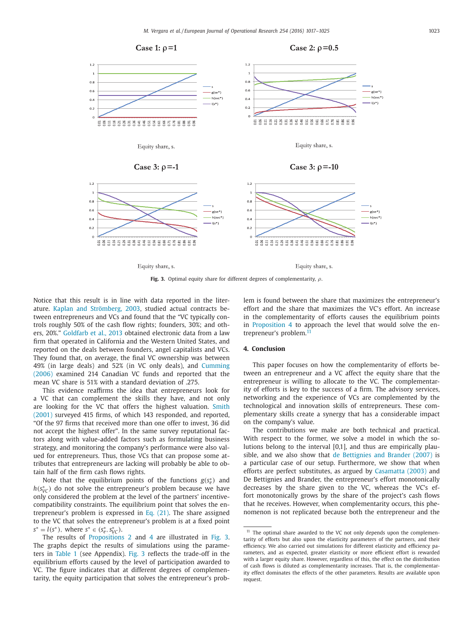<span id="page-6-0"></span>

**Fig. 3.** Optimal equity share for different degrees of complementarity, ρ.

Notice that this result is in line with data reported in the literature. Kaplan and [Strömberg,](#page-8-0) 2003, studied actual contracts between entrepreneurs and VCs and found that the "VC typically controls roughly 50% of the cash flow rights; founders, 30%; and others, 20%." [Goldfarb](#page-7-0) et al., 2013 obtained electronic data from a law firm that operated in California and the Western United States, and reported on the deals between founders, angel capitalists and VCs. They found that, on average, the final VC ownership was between 49% (in large deals) and 52% (in VC only deals), and Cumming (2006) [examined](#page-7-0) 214 Canadian VC funds and reported that the mean VC share is 51% with a standard deviation of .275.

This evidence reaffirms the idea that entrepreneurs look for a VC that can complement the skills they have, and not only are looking for the VC that offers the highest valuation. Smith (2001) surveyed 415 firms, of which 143 [responded,](#page-8-0) and reported, "Of the 97 firms that received more than one offer to invest, 36 did not accept the highest offer". In the same survey reputational factors along with value-added factors such as formulating business strategy, and monitoring the company's performance were also valued for entrepreneurs. Thus, those VCs that can propose some attributes that entrepreneurs are lacking will probably be able to obtain half of the firm cash flows rights.

Note that the equilibrium points of the functions  $g(s_e^*)$  and  $h(s^*_{VC})$  do not solve the entrepreneur's problem because we have only considered the problem at the level of the partners' incentivecompatibility constraints. The equilibrium point that solves the entrepreneur's problem is expressed in Eq. [\(21\).](#page-3-0) The share assigned to the VC that solves the entrepreneur's problem is at a fixed point  $s^* = l(s^*)$ , where  $s^* \in (s^*_e, s^*_{V\mathcal{C}})$ .

The results of [Propositions](#page-3-0) 2 and [4](#page-5-0) are illustrated in Fig. 3. The graphs depict the results of simulations using the parameters in [Table](#page-5-0) 1 (see Appendix). Fig. 3 reflects the trade-off in the equilibrium efforts caused by the level of participation awarded to VC. The figure indicates that at different degrees of complementarity, the equity participation that solves the entrepreneur's problem is found between the share that maximizes the entrepreneur's effort and the share that maximizes the VC's effort. An increase in the complementarity of efforts causes the equilibrium points in [Proposition](#page-5-0) 4 to approach the level that would solve the entrepreneur's problem.<sup>11</sup>

### **4. Conclusion**

This paper focuses on how the complementarity of efforts between an entrepreneur and a VC affect the equity share that the entrepreneur is willing to allocate to the VC. The complementarity of efforts is key to the success of a firm. The advisory services, networking and the experience of VCs are complemented by the technological and innovation skills of entrepreneurs. These complementary skills create a synergy that has a considerable impact on the company's value.

The contributions we make are both technical and practical. With respect to the former, we solve a model in which the solutions belong to the interval [0,1], and thus are empirically plausible, and we also show that de [Bettignies](#page-7-0) and Brander (2007) is a particular case of our setup. Furthermore, we show that when efforts are perfect substitutes, as argued by [Casamatta](#page-7-0) (2003) and De Bettignies and Brander, the entrepreneur's effort monotonically decreases by the share given to the VC, whereas the VC's effort monotonically grows by the share of the project's cash flows that he receives. However, when complementarity occurs, this phenomenon is not replicated because both the entrepreneur and the

<sup>&</sup>lt;sup>11</sup> The optimal share awarded to the VC not only depends upon the complementarity of efforts but also upon the elasticity parameters of the partners, and their efficiency. We also carried out simulations for different elasticity and efficiency parameters, and as expected, greater elasticity or more efficient effort is rewarded with a larger equity share. However, regardless of this, the effect on the distribution of cash flows is diluted as complementarity increases. That is, the complementarity effect dominates the effects of the other parameters. Results are available upon request.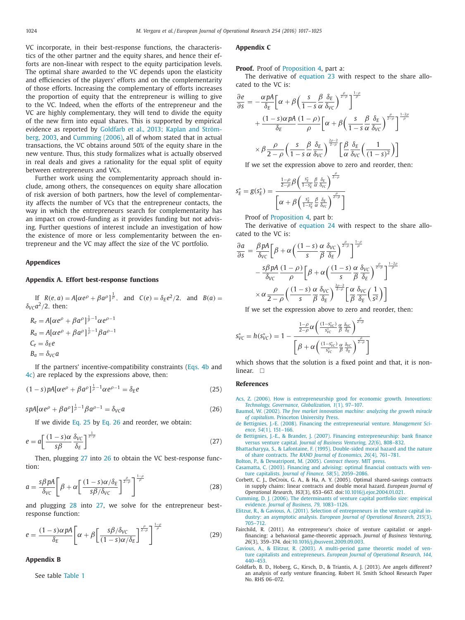<span id="page-7-0"></span>VC incorporate, in their best-response functions, the characteristics of the other partner and the equity shares, and hence their efforts are non-linear with respect to the equity participation levels. The optimal share awarded to the VC depends upon the elasticity and efficiencies of the players' efforts and on the complementarity of those efforts. Increasing the complementary of efforts increases the proportion of equity that the entrepreneur is willing to give to the VC. Indeed, when the efforts of the entrepreneur and the VC are highly complementary, they will tend to divide the equity of the new firm into equal shares. This is supported by empirical evidence as reported by Goldfarb et al., 2013; Kaplan and Strömberg, 2003, and Cumming (2006), all of whom stated that in actual transactions, the VC obtains around 50% of the equity share in the new venture. Thus, this study formalizes what is actually observed in real deals and gives a rationality for the equal split of equity between entrepreneurs and VCs.

Further work using the complementarity approach should include, among others, the consequences on equity share allocation of risk aversion of both partners, how the level of complementarity affects the number of VCs that the entrepreneur contacts, the way in which the entrepreneurs search for complementarity has an impact on crowd-funding as it provides funding but not advising. Further questions of interest include an investigation of how the existence of more or less complementarity between the entrepreneur and the VC may affect the size of the VC portfolio.

# **Appendices**

# **Appendix A. Effort best-response functions**

If  $R(e, a) = A[\alpha e^{\rho} + \beta a^{\rho}]^{\frac{1}{\rho}}$ , and  $C(e) = \delta_E e^2/2$ , and  $B(a) =$  $\delta_{VC}a^2/2$ , then:

$$
R_e = A[\alpha e^{\rho} + \beta a^{\rho}]^{\frac{1}{\rho}-1} \alpha e^{\rho-1}
$$
  
\n
$$
R_a = A[\alpha e^{\rho} + \beta a^{\rho}]^{\frac{1}{\rho}-1} \beta a^{\rho-1}
$$
  
\n
$$
C_e = \delta_E e
$$
  
\n
$$
B_a = \delta_{VC} a
$$

If the partners' incentive-compatibility constraints [\(Eqs.](#page-2-0) 4b and [4c\)](#page-2-0) are replaced by the expressions above, then:

$$
(1-s)pA[\alpha e^{\rho} + \beta a^{\rho}]^{\frac{1}{\rho}-1}\alpha e^{\rho-1} = \delta_E e \tag{25}
$$

$$
spA[\alpha e^{\rho} + \beta a^{\rho}]^{\frac{1}{\rho}-1}\beta a^{\rho-1} = \delta_{\nu c} a \tag{26}
$$

If we divide Eq. 25 by Eq. 26 and reorder, we obtain:

$$
e = a \left[ \frac{(1-s)\alpha}{s\beta} \frac{\delta_{VC}}{\delta_E} \right]^{\frac{1}{2-\rho}}
$$
\n(27)

Then, plugging 27 into 26 to obtain the VC best-response function:

$$
a = \frac{s\beta pA}{\delta_{VC}} \left[ \beta + \alpha \left[ \frac{(1-s)\alpha/\delta_E}{s\beta/\delta_{VC}} \right]^{2-\rho} \right]^{1-\rho} \tag{28}
$$

and plugging 28 into 27, we solve for the entrepreneur bestresponse function:

$$
e = \frac{(1-s)\alpha pA}{\delta_E} \left[ \alpha + \beta \left[ \frac{s\beta/\delta_{VC}}{(1-s)\alpha/\delta_E} \right]^{\frac{\rho}{2-\rho}} \right]^{1-\rho} \tag{29}
$$

# **Appendix B**

See table [Table](#page-5-0) 1

# **Appendix C**

# **Proof.** Proof of [Proposition](#page-5-0) 4, part a:

The derivative of [equation](#page-4-0) 23 with respect to the share allocated to the VC is:

$$
\frac{\partial e}{\partial s} = -\frac{\alpha pA}{\delta_E} \left[ \alpha + \beta \left( \frac{s}{1-s} \frac{\beta}{\alpha} \frac{\delta_E}{\delta_{VC}} \right)^{\frac{\rho}{2-\rho}} \right]^{\frac{1-\rho}{\rho}}
$$
  
+ 
$$
\frac{(1-s)\alpha pA}{\delta_E} \frac{(1-\rho)}{\rho} \left[ \alpha + \beta \left( \frac{s}{1-s} \frac{\beta}{\alpha} \frac{\delta_E}{\delta_{VC}} \right)^{\frac{\rho}{2-\rho}} \right]^{\frac{1-2\rho}{\rho}}
$$
  

$$
\times \beta \frac{\rho}{2-\rho} \left( \frac{s}{1-s} \frac{\beta}{\alpha} \frac{\delta_E}{\delta_{VC}} \right)^{\frac{2\rho-2}{2-\rho}} \left[ \frac{\beta}{\alpha} \frac{\delta_E}{\delta_{VC}} \left( \frac{1}{(1-s)^2} \right) \right]
$$

If we set the expression above to zero and reorder, then:

$$
s_E^* = g(s_E^*) = \frac{\frac{1-\rho}{2-\rho}\beta\left(\frac{s_E^*}{1-s_E^*}\frac{\beta}{\alpha}\frac{\delta_E}{\delta_{V_C}}\right)^{\frac{\rho}{2-\rho}}}{\left[\alpha + \beta\left(\frac{s_E^*}{1-s_E^*}\frac{\beta}{\alpha}\frac{\delta_E}{\delta_{V_C}}\right)^{\frac{\rho}{2-\rho}}\right]}
$$

Proof of [Proposition](#page-5-0) 4, part b:

The derivative of [equation](#page-4-0) 24 with respect to the share allocated to the VC is:

$$
\frac{\partial a}{\partial s} = \frac{\beta p A}{\delta_{VC}} \left[ \beta + \alpha \left( \frac{(1-s)}{s} \frac{\alpha}{\beta} \frac{\delta_{VC}}{\delta_E} \right)^{\frac{p}{2-\rho}} \right]^{\frac{1-\rho}{\rho}}
$$

$$
- \frac{s \beta p A}{\delta_{VC}} \frac{(1-\rho)}{\rho} \left[ \beta + \alpha \left( \frac{(1-s)}{s} \frac{\alpha}{\beta} \frac{\delta_{VC}}{\delta_E} \right)^{\frac{\rho}{2-\rho}} \right]^{\frac{1-2\rho}{\rho}}
$$

$$
\times \alpha \frac{\rho}{2-\rho} \left( \frac{(1-s)}{s} \frac{\alpha}{\beta} \frac{\delta_{VC}}{\delta_E} \right)^{\frac{2\rho-2}{2-\rho}} \left[ \frac{\alpha}{\beta} \frac{\delta_{VC}}{\delta_E} \left( \frac{1}{s^2} \right) \right]
$$

If we set the expression above to zero and reorder, then:

$$
s^*_{VC} = h(s^*_{VC}) = 1 - \frac{\frac{1-\rho}{2-\rho}\alpha\left(\frac{(1-s^*_{VC})}{s^*_{VC}}\frac{\alpha}{\beta}\frac{\delta_{VC}}{\delta_E}\right)^{\frac{\rho}{2-\rho}}}{\left[\beta + \alpha\left(\frac{(1-s^*_{VC})}{s^*_{VC}}\frac{\alpha}{\beta}\frac{\delta_{VC}}{\delta_E}\right)^{\frac{\rho}{2-\rho}}\right]}
$$

which shows that the solution is a fixed point and that, it is non $linear$   $\Box$ 

# **References**

- [Acs,](http://refhub.elsevier.com/S0377-2217(16)30277-6/sbref0001) Z. (2006). How is [entrepreneurship](http://refhub.elsevier.com/S0377-2217(16)30277-6/sbref0001) good for economic growth. *Innovations: Technology, Governance, Globalization, 1*(1), 97–107.
- [Baumol,](http://refhub.elsevier.com/S0377-2217(16)30277-6/sbref0002) W. (2002). *The free market [innovation](http://refhub.elsevier.com/S0377-2217(16)30277-6/sbref0002) machine: analyzing the growth miracle of capitalism*. Princeton University Press.
- de [Bettignies,](http://refhub.elsevier.com/S0377-2217(16)30277-6/sbref0003) J.-E. (2008). Financing the [entrepreneurial](http://refhub.elsevier.com/S0377-2217(16)30277-6/sbref0003) venture. *Management Science, 54*(1), 151–166.
- de [Bettignies,](http://refhub.elsevier.com/S0377-2217(16)30277-6/sbref0004) J.-E., [&](http://refhub.elsevier.com/S0377-2217(16)30277-6/sbref0004) [Brander,](http://refhub.elsevier.com/S0377-2217(16)30277-6/sbref0004) J. (2007). Financing [entrepreneurship:](http://refhub.elsevier.com/S0377-2217(16)30277-6/sbref0004) bank finance versus venture capital. *Journal of Business Venturing, 22*(6), 808–832.
- [Bhattacharyya,](http://refhub.elsevier.com/S0377-2217(16)30277-6/sbref0005) S., [&](http://refhub.elsevier.com/S0377-2217(16)30277-6/sbref0005) [Lafontaine,](http://refhub.elsevier.com/S0377-2217(16)30277-6/sbref0005) F. (1995). [Double-sided](http://refhub.elsevier.com/S0377-2217(16)30277-6/sbref0005) moral hazard and the nature of share contracts. *The RAND Journal of Economics, 26*(4), 761–781. [Bolton,](http://refhub.elsevier.com/S0377-2217(16)30277-6/sbref0006) P., [&](http://refhub.elsevier.com/S0377-2217(16)30277-6/sbref0006) [Dewatripont,](http://refhub.elsevier.com/S0377-2217(16)30277-6/sbref0006) M. (2005). *[Contract](http://refhub.elsevier.com/S0377-2217(16)30277-6/sbref0006) theory*. MIT press.
- [Casamatta,](http://refhub.elsevier.com/S0377-2217(16)30277-6/sbref0007) C. (2003). Financing and advising: optimal financial contracts with ven-ture capitalists. *Journal of Finance, 58*(5), [2059–2086.](http://refhub.elsevier.com/S0377-2217(16)30277-6/sbref0007)
- Corbett, C. J., DeCroix, G. A., & Ha, A. Y. (2005). Optimal shared-savings contracts in supply chains: linear contracts and double moral hazard. *European Journal of Operational Research, 163*(3), 653–667. doi[:10.1016/j.ejor.2004.01.021.](http://dx.doi.org/10.1016/j.ejor.2004.01.021)
- [Cumming,](http://refhub.elsevier.com/S0377-2217(16)30277-6/sbref0009) D. J. (2006). The [determinants](http://refhub.elsevier.com/S0377-2217(16)30277-6/sbref0009) of venture capital portfolio size: empirical evidence. *Journal of Business, 79*, 1083–1126.
- [Elitzur,](http://refhub.elsevier.com/S0377-2217(16)30277-6/sbref0010) R., [&](http://refhub.elsevier.com/S0377-2217(16)30277-6/sbref0010) [Gavious,](http://refhub.elsevier.com/S0377-2217(16)30277-6/sbref0010) A. (2011). Selection of [entrepreneurs](http://refhub.elsevier.com/S0377-2217(16)30277-6/sbref0010) in the venture capital industry: an asymptotic analysis. *European Journal of Operational Research, 215*(3), 705–712.
- Fairchild, R. (2011). An entrepreneur's choice of venture capitalist or angelfinancing: a behavioral game-theoretic approach. *Journal of Business Venturing, 26*(3), 359–374. doi[:10.1016/j.jbusvent.2009.09.003.](http://dx.doi.org/10.1016/j.jbusvent.2009.09.003)
- [Gavious,](http://refhub.elsevier.com/S0377-2217(16)30277-6/sbref0012) A., [&](http://refhub.elsevier.com/S0377-2217(16)30277-6/sbref0012) [Elitzur,](http://refhub.elsevier.com/S0377-2217(16)30277-6/sbref0012) R. (2003). A multi-period game theoretic model of venture capitalists and [entrepreneurs.](http://refhub.elsevier.com/S0377-2217(16)30277-6/sbref0012) *European Journal of Operational Research, 144*, 440–453.
- Goldfarb, B. D., Hoberg, G., Kirsch, D., & Triantis, A. J. (2013). Are angels different? an analysis of early venture financing. Robert H. Smith School Research Paper No. RHS 06–072.